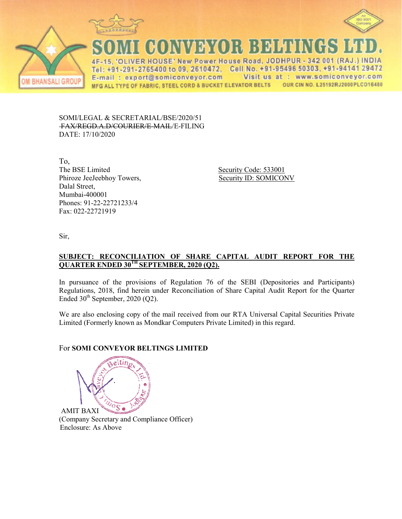



**VER HOUSE' New Power House Road, JO** 342 001 (RAJ  $\Lambda$ E Tel: +91-291-2765400 to 09, 2610472. Cell No. +91-95496 50303, +91-94141 29472 E-mail: export@somiconveyor.com Visit us at: www.somiconveyor.com OUR CIN NO. L25192RJ2000PLCO16480 MFG ALL TYPE OF FABRIC, STEEL CORD & BUCKET ELEVATOR BELTS

SOMI/LEGAL & SECRETARIAL/BSE/2020/51 FAX/REGD.A.D/COURIER/E R/E-MAIL/E-FILING DATE: 17/10/2020

To, The BSE Limited Phiroze JeeJeebhoy Towers, Dalal Street, Mumbai-400001 Phones: 91-22-22721233/4 Fax: 022-22721919

Security Code: 533001 Security ID: SOMICONV

Sir,

**BHANSALI GROUP** 

## **<u>SUBJECT: RECONCILIATION OF SHARE CAPITAL AUDIT REPORT FOR THE</u> QUARTER ENDED 30TH SEPT SEPTEMBER, 2020 (Q2).**

In pursuance of the provisions of Regulation 76 of the SEBI (Depositories and Participants) Regulations, 2018, find herein under Reconciliation of Share Capital Audit Report for the Quarter Ended  $30<sup>th</sup>$  September, 2020 (Q2).

We are also enclosing copy of the mail received from our RTA Universal Capital Securities Private Limited (Formerly known as Mondkar Computers Private Limited) in this regard.

# For **SOMI CONVEYOR BELT BELTINGS LIMITED**



(Company Secretary and Compliance Officer) Enclosure: As Above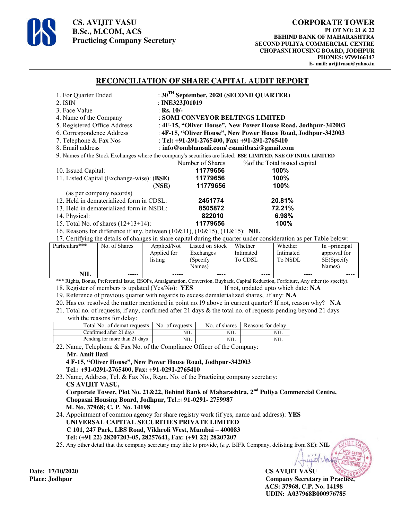

**CS. AVIJIT VASU B.Sc., M.COM, ACS Practicing Company Secretary** 

#### **RECONCILIATION OF SHARE CAPITAL AUDIT REPORT**

| 1. For Quarter Ended                                                                                              | : $30^{\text{TH}}$ September, 2020 (SECOND QUARTER)           |                                 |  |  |  |
|-------------------------------------------------------------------------------------------------------------------|---------------------------------------------------------------|---------------------------------|--|--|--|
| 2. ISIN                                                                                                           | : INE323, J $01019$                                           |                                 |  |  |  |
| 3. Face Value                                                                                                     | : Rs. $10/-$                                                  |                                 |  |  |  |
| 4. Name of the Company                                                                                            | : SOMI CONVEYOR BELTINGS LIMITED                              |                                 |  |  |  |
| 5. Registered Office Address                                                                                      | : 4F-15, "Oliver House", New Power House Road, Jodhpur-342003 |                                 |  |  |  |
| 6. Correspondence Address                                                                                         | : 4F-15, "Oliver House", New Power House Road, Jodhpur-342003 |                                 |  |  |  |
| 7. Telephone & Fax Nos                                                                                            | : Tel: $+91-291-2765400$ , Fax: $+91-291-2765410$             |                                 |  |  |  |
| 8. Email address                                                                                                  | : info@ombhansali.com/csamitbaxi@gmail.com                    |                                 |  |  |  |
| 9. Names of the Stock Exchanges where the company's securities are listed: BSE LIMITED, NSE OF INDIA LIMITED      |                                                               |                                 |  |  |  |
|                                                                                                                   | Number of Shares                                              | % % of the Total issued capital |  |  |  |
| 10. Issued Capital:                                                                                               | 11779656                                                      | 100%                            |  |  |  |
| 11. Listed Capital (Exchange-wise): (BSE)                                                                         | 11779656                                                      | 100%                            |  |  |  |
|                                                                                                                   | 11779656<br>(NSE)                                             | 100%                            |  |  |  |
| (as per company records)                                                                                          |                                                               |                                 |  |  |  |
| 12. Held in dematerialized form in CDSL:                                                                          | 2451774                                                       | 20.81%                          |  |  |  |
| 13. Held in dematerialized form in NSDL:                                                                          | 8505872                                                       | 72.21%                          |  |  |  |
| 14. Physical:                                                                                                     | 822010                                                        | 6.98%                           |  |  |  |
| 15. Total No. of shares $(12+13+14)$ :                                                                            | 11779656                                                      | 100%                            |  |  |  |
| 16. Reasons for difference if any, between (10&11), (10&15), (11&15): NIL                                         |                                                               |                                 |  |  |  |
| 17. Certifying the details of changes in share capital during the quarter under consideration as per Table below: |                                                               |                                 |  |  |  |

| listing<br><b>NIL</b> | (Specify)<br>Names) | To CDSL                     | To NSDL | SE(Specify<br>Names) |
|-----------------------|---------------------|-----------------------------|---------|----------------------|
|                       | -----               | $\cdots$<br>$\cdots \cdots$ | ----    | ----                 |

\*\*\* Rights, Bonus, Preferential Issue, ESOPs, Amalgamation, Conversion, Buyback, Capital Reduction, Forfeiture, Any other (to specify). 18. Register of members is updated (Yes/No): **YES** If not, updated upto which date: **N.A**

19. Reference of previous quarter with regards to excess dematerialized shares, .if any: **N.A**

20. Has co. resolved the matter mentioned in point no.19 above in current quarter? If not, reason why? **N.A**

21. Total no. of requests, if any, confirmed after 21 days & the total no. of requests pending beyond 21 days with the reasons for delay:

| Total No. of demat requests   | No. of requests | No. of shares | Reasons for delay |
|-------------------------------|-----------------|---------------|-------------------|
| Confirmed after 21 days       | NШ              | NШ            |                   |
| Pending for more than 21 days | NШ              | NIL           |                   |

22. Name, Telephone & Fax No. of the Compliance Officer of the Company:

## **Mr. Amit Baxi**

 **4 F-15, "Oliver House", New Power House Road, Jodhpur-342003 Tel.: +91-0291-2765400, Fax: +91-0291-2765410** 

23. Name, Address, Tel. & Fax No., Regn. No. of the Practicing company secretary:  **CS AVIJIT VASU, Corporate Tower, Plot No. 21&22, Behind Bank of Maharashtra, 2nd Puliya Commercial Centre, Chopasni Housing Board, Jodhpur, Tel.:+91-0291- 2759987 M. No. 37968; C. P. No. 14198** 

24. Appointment of common agency for share registry work (if yes, name and address): **YES UNIVERSAL CAPITAL SECURITIES PRIVATE LIMITED C 101, 247 Park, LBS Road, Vikhroli West, Mumbai – 400083 Tel: (+91 22) 28207203-05, 28257641, Fax: (+91 22) 28207207**

25. Any other detail that the company secretary may like to provide, (*e.g.* BIFR Company, delisting from SE): **NIL**

**Date: 17/10/2020 CS AVIJIT VASU Place: Jodhpur Company Secretary in Practice, ACS: 37968, C.P. No. 14198 UDIN: A037968B000976785**